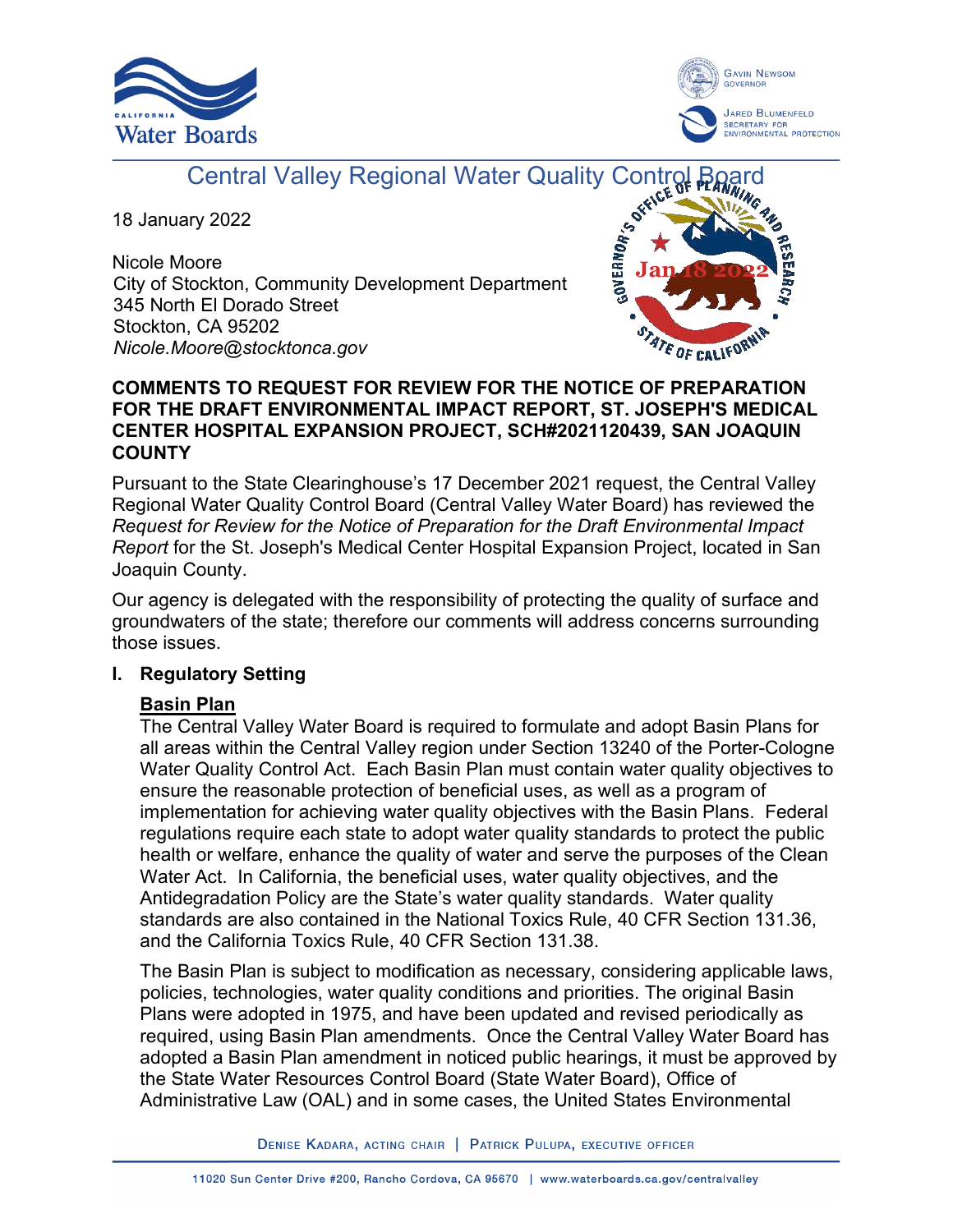



# Central Valley Regional Water Quality Control

18 January 2022

Nicole Moore City of Stockton, Community Development Department 345 North El Dorado Street Stockton, CA 95202 *Nicole.Moore@stocktonca.gov*



# **COMMENTS TO REQUEST FOR REVIEW FOR THE NOTICE OF PREPARATION FOR THE DRAFT ENVIRONMENTAL IMPACT REPORT, ST. JOSEPH'S MEDICAL CENTER HOSPITAL EXPANSION PROJECT, SCH#2021120439, SAN JOAQUIN COUNTY**

Pursuant to the State Clearinghouse's 17 December 2021 request, the Central Valley Regional Water Quality Control Board (Central Valley Water Board) has reviewed the *Request for Review for the Notice of Preparation for the Draft Environmental Impact Report* for the St. Joseph's Medical Center Hospital Expansion Project, located in San Joaquin County.

Our agency is delegated with the responsibility of protecting the quality of surface and groundwaters of the state; therefore our comments will address concerns surrounding those issues.

# **I. Regulatory Setting**

# **Basin Plan**

The Central Valley Water Board is required to formulate and adopt Basin Plans for all areas within the Central Valley region under Section 13240 of the Porter-Cologne Water Quality Control Act. Each Basin Plan must contain water quality objectives to ensure the reasonable protection of beneficial uses, as well as a program of implementation for achieving water quality objectives with the Basin Plans. Federal regulations require each state to adopt water quality standards to protect the public health or welfare, enhance the quality of water and serve the purposes of the Clean Water Act. In California, the beneficial uses, water quality objectives, and the Antidegradation Policy are the State's water quality standards. Water quality standards are also contained in the National Toxics Rule, 40 CFR Section 131.36, and the California Toxics Rule, 40 CFR Section 131.38.

The Basin Plan is subject to modification as necessary, considering applicable laws, policies, technologies, water quality conditions and priorities. The original Basin Plans were adopted in 1975, and have been updated and revised periodically as required, using Basin Plan amendments. Once the Central Valley Water Board has adopted a Basin Plan amendment in noticed public hearings, it must be approved by the State Water Resources Control Board (State Water Board), Office of Administrative Law (OAL) and in some cases, the United States Environmental

DENISE KADARA, ACTING CHAIR | PATRICK PULUPA, EXECUTIVE OFFICER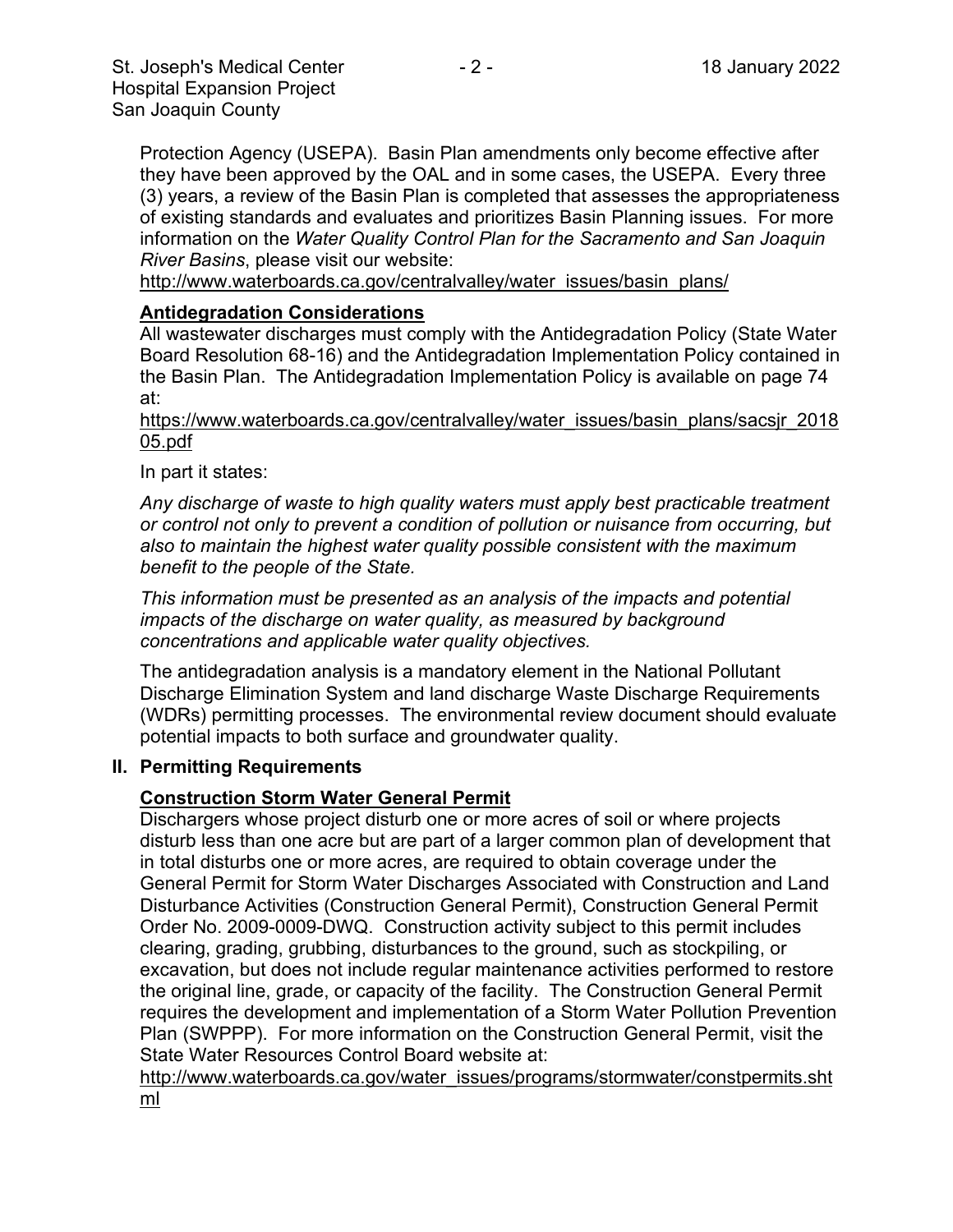Protection Agency (USEPA). Basin Plan amendments only become effective after they have been approved by the OAL and in some cases, the USEPA. Every three (3) years, a review of the Basin Plan is completed that assesses the appropriateness of existing standards and evaluates and prioritizes Basin Planning issues. For more information on the *Water Quality Control Plan for the Sacramento and San Joaquin River Basins*, please visit our website:

[http://www.waterboards.ca.gov/centralvalley/water\\_issues/basin\\_plans/](http://www.waterboards.ca.gov/centralvalley/water_issues/basin_plans/)

#### **Antidegradation Considerations**

All wastewater discharges must comply with the Antidegradation Policy (State Water Board Resolution 68-16) and the Antidegradation Implementation Policy contained in the Basin Plan. The Antidegradation Implementation Policy is available on page 74 at:

https://www.waterboards.ca.gov/centralvalley/water\_issues/basin\_plans/sacsjr\_2018 05.pdf

#### In part it states:

*Any discharge of waste to high quality waters must apply best practicable treatment or control not only to prevent a condition of pollution or nuisance from occurring, but also to maintain the highest water quality possible consistent with the maximum benefit to the people of the State.*

*This information must be presented as an analysis of the impacts and potential impacts of the discharge on water quality, as measured by background concentrations and applicable water quality objectives.*

The antidegradation analysis is a mandatory element in the National Pollutant Discharge Elimination System and land discharge Waste Discharge Requirements (WDRs) permitting processes. The environmental review document should evaluate potential impacts to both surface and groundwater quality.

#### **II. Permitting Requirements**

#### **Construction Storm Water General Permit**

Dischargers whose project disturb one or more acres of soil or where projects disturb less than one acre but are part of a larger common plan of development that in total disturbs one or more acres, are required to obtain coverage under the General Permit for Storm Water Discharges Associated with Construction and Land Disturbance Activities (Construction General Permit), Construction General Permit Order No. 2009-0009-DWQ. Construction activity subject to this permit includes clearing, grading, grubbing, disturbances to the ground, such as stockpiling, or excavation, but does not include regular maintenance activities performed to restore the original line, grade, or capacity of the facility. The Construction General Permit requires the development and implementation of a Storm Water Pollution Prevention Plan (SWPPP). For more information on the Construction General Permit, visit the State Water Resources Control Board website at:

[http://www.waterboards.ca.gov/water\\_issues/programs/stormwater/constpermits.sht](http://www.waterboards.ca.gov/water_issues/programs/stormwater/constpermits.shtml) [ml](http://www.waterboards.ca.gov/water_issues/programs/stormwater/constpermits.shtml)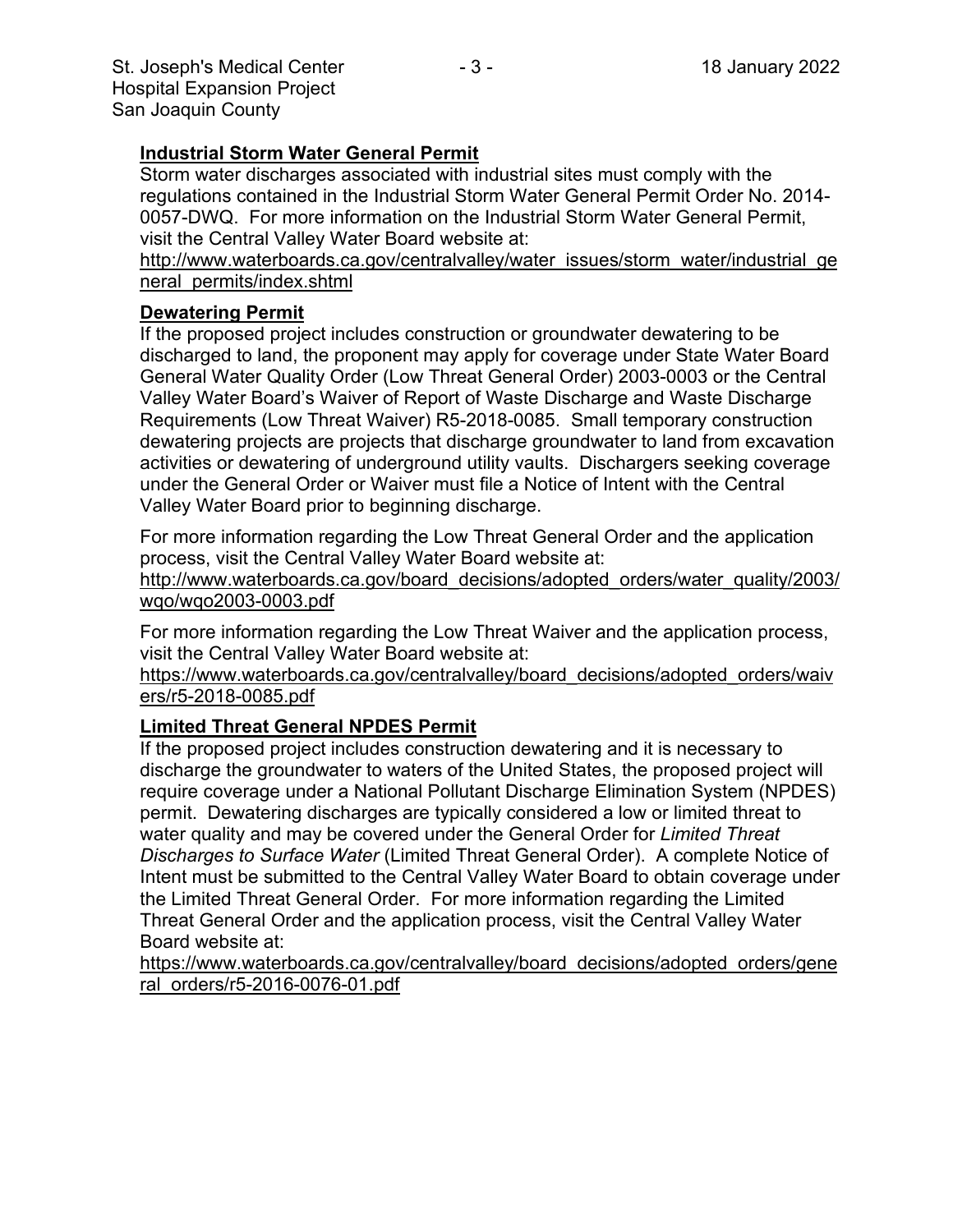## **Industrial Storm Water General Permit**

Storm water discharges associated with industrial sites must comply with the regulations contained in the Industrial Storm Water General Permit Order No. 2014- 0057-DWQ. For more information on the Industrial Storm Water General Permit, visit the Central Valley Water Board website at:

http://www.waterboards.ca.gov/centralvalley/water\_issues/storm\_water/industrial\_ge neral\_permits/index.shtml

# **Dewatering Permit**

If the proposed project includes construction or groundwater dewatering to be discharged to land, the proponent may apply for coverage under State Water Board General Water Quality Order (Low Threat General Order) 2003-0003 or the Central Valley Water Board's Waiver of Report of Waste Discharge and Waste Discharge Requirements (Low Threat Waiver) R5-2018-0085. Small temporary construction dewatering projects are projects that discharge groundwater to land from excavation activities or dewatering of underground utility vaults. Dischargers seeking coverage under the General Order or Waiver must file a Notice of Intent with the Central Valley Water Board prior to beginning discharge.

For more information regarding the Low Threat General Order and the application process, visit the Central Valley Water Board website at:

http://www.waterboards.ca.gov/board\_decisions/adopted\_orders/water\_quality/2003/ wqo/wqo2003-0003.pdf

For more information regarding the Low Threat Waiver and the application process, visit the Central Valley Water Board website at:

https://www.waterboards.ca.gov/centralvalley/board\_decisions/adopted\_orders/waiv ers/r5-2018-0085.pdf

# **Limited Threat General NPDES Permit**

If the proposed project includes construction dewatering and it is necessary to discharge the groundwater to waters of the United States, the proposed project will require coverage under a National Pollutant Discharge Elimination System (NPDES) permit. Dewatering discharges are typically considered a low or limited threat to water quality and may be covered under the General Order for *Limited Threat Discharges to Surface Water* (Limited Threat General Order). A complete Notice of Intent must be submitted to the Central Valley Water Board to obtain coverage under the Limited Threat General Order. For more information regarding the Limited Threat General Order and the application process, visit the Central Valley Water Board website at:

https://www.waterboards.ca.gov/centralvalley/board\_decisions/adopted\_orders/gene ral\_orders/r5-2016-0076-01.pdf